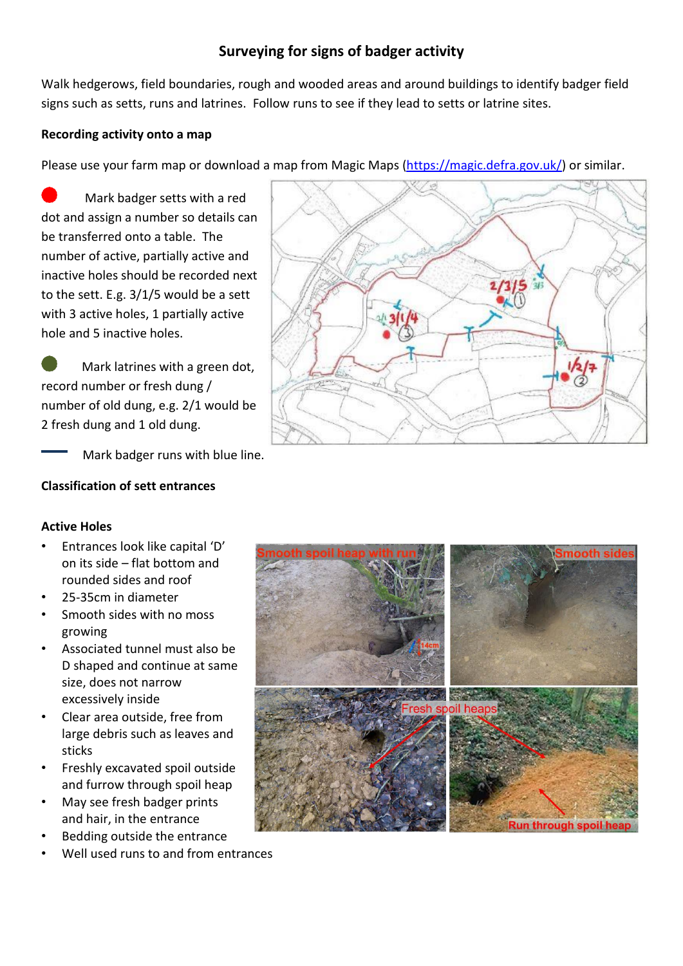# **Surveying for signs of badger activity**

Walk hedgerows, field boundaries, rough and wooded areas and around buildings to identify badger field signs such as setts, runs and latrines. Follow runs to see if they lead to setts or latrine sites.

## **Recording activity onto a map**

Please use your farm map or download a map from Magic Maps [\(https://magic.defra.gov.uk/\)](https://magic.defra.gov.uk/) or similar.

 Mark badger setts with a red dot and assign a number so details can be transferred onto a table. The number of active, partially active and inactive holes should be recorded next to the sett. E.g. 3/1/5 would be a sett with 3 active holes, 1 partially active hole and 5 inactive holes.

 Mark latrines with a green dot, record number or fresh dung / number of old dung, e.g. 2/1 would be 2 fresh dung and 1 old dung.

Mark badger runs with blue line.

## **Classification of sett entrances**

## **Active Holes**

- Entrances look like capital 'D' on its side – flat bottom and rounded sides and roof
- 25-35cm in diameter
- Smooth sides with no moss growing
- Associated tunnel must also be D shaped and continue at same size, does not narrow excessively inside
- Clear area outside, free from large debris such as leaves and sticks
- Freshly excavated spoil outside and furrow through spoil heap
- May see fresh badger prints and hair, in the entrance
- Bedding outside the entrance
- Well used runs to and from entrances